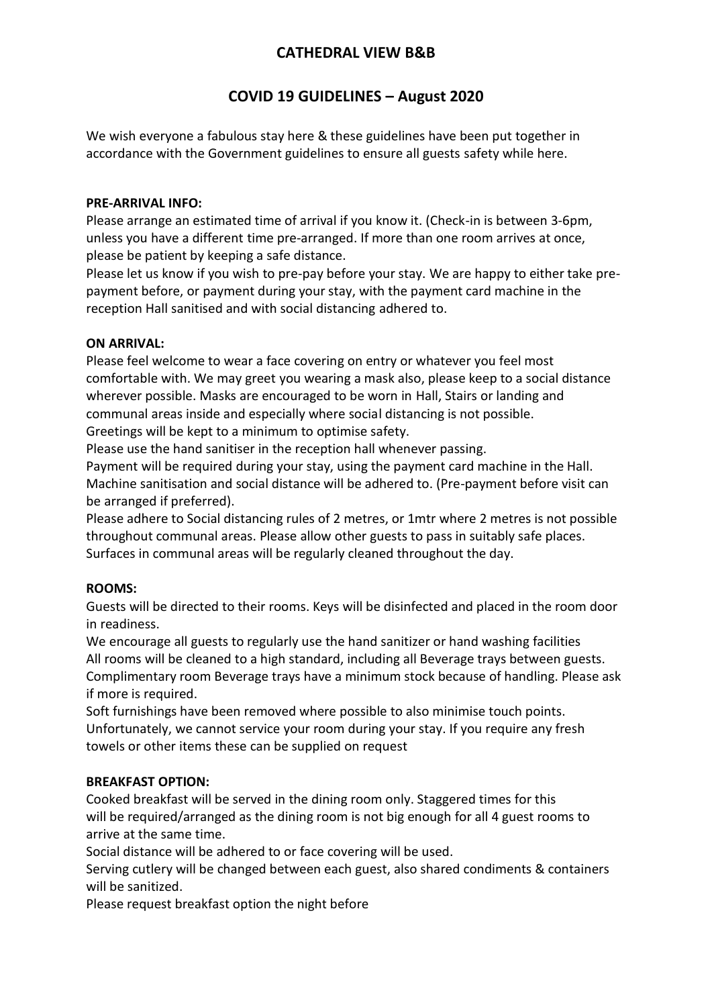# **CATHEDRAL VIEW B&B**

# **COVID 19 GUIDELINES – August 2020**

We wish everyone a fabulous stay here & these guidelines have been put together in accordance with the Government guidelines to ensure all guests safety while here.

#### **PRE-ARRIVAL INFO:**

Please arrange an estimated time of arrival if you know it. (Check-in is between 3-6pm, unless you have a different time pre-arranged. If more than one room arrives at once, please be patient by keeping a safe distance.

Please let us know if you wish to pre-pay before your stay. We are happy to either take prepayment before, or payment during your stay, with the payment card machine in the reception Hall sanitised and with social distancing adhered to.

#### **ON ARRIVAL:**

Please feel welcome to wear a face covering on entry or whatever you feel most comfortable with. We may greet you wearing a mask also, please keep to a social distance wherever possible. Masks are encouraged to be worn in Hall, Stairs or landing and communal areas inside and especially where social distancing is not possible. Greetings will be kept to a minimum to optimise safety.

Please use the hand sanitiser in the reception hall whenever passing.

Payment will be required during your stay, using the payment card machine in the Hall. Machine sanitisation and social distance will be adhered to. (Pre-payment before visit can be arranged if preferred).

Please adhere to Social distancing rules of 2 metres, or 1mtr where 2 metres is not possible throughout communal areas. Please allow other guests to pass in suitably safe places. Surfaces in communal areas will be regularly cleaned throughout the day.

#### **ROOMS:**

Guests will be directed to their rooms. Keys will be disinfected and placed in the room door in readiness.

We encourage all guests to regularly use the hand sanitizer or hand washing facilities All rooms will be cleaned to a high standard, including all Beverage trays between guests. Complimentary room Beverage trays have a minimum stock because of handling. Please ask if more is required.

Soft furnishings have been removed where possible to also minimise touch points. Unfortunately, we cannot service your room during your stay. If you require any fresh towels or other items these can be supplied on request

#### **BREAKFAST OPTION:**

Cooked breakfast will be served in the dining room only. Staggered times for this will be required/arranged as the dining room is not big enough for all 4 guest rooms to arrive at the same time.

Social distance will be adhered to or face covering will be used.

Serving cutlery will be changed between each guest, also shared condiments & containers will be sanitized.

Please request breakfast option the night before